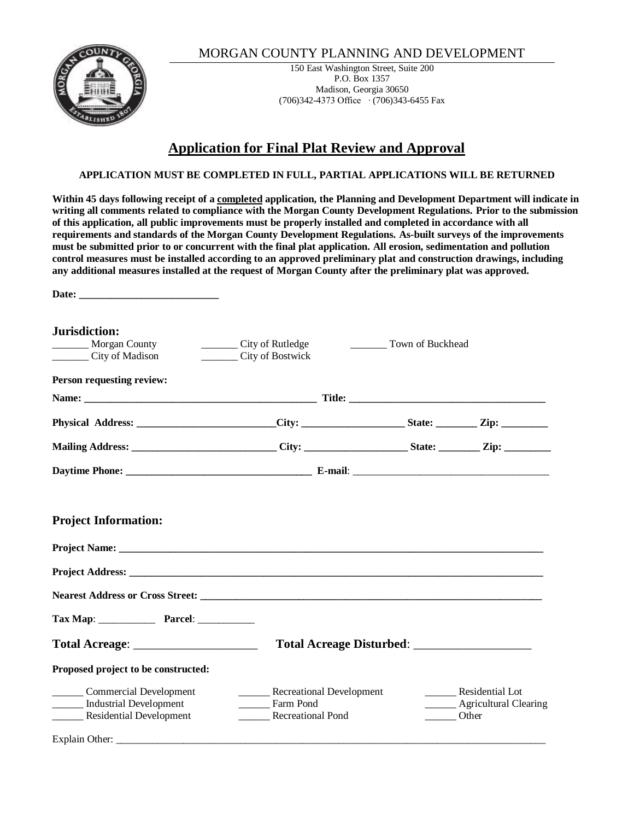

## MORGAN COUNTY PLANNING AND DEVELOPMENT

150 East Washington Street, Suite 200 P.O. Box 1357 Madison, Georgia 30650 (706)342-4373 Office ∙ (706)343-6455 Fax

# **Application for Final Plat Review and Approval**

#### **APPLICATION MUST BE COMPLETED IN FULL, PARTIAL APPLICATIONS WILL BE RETURNED**

**Within 45 days following receipt of a completed application, the Planning and Development Department will indicate in writing all comments related to compliance with the Morgan County Development Regulations. Prior to the submission of this application, all public improvements must be properly installed and completed in accordance with all requirements and standards of the Morgan County Development Regulations. As-built surveys of the improvements must be submitted prior to or concurrent with the final plat application. All erosion, sedimentation and pollution control measures must be installed according to an approved preliminary plat and construction drawings, including any additional measures installed at the request of Morgan County after the preliminary plat was approved.** 

Date:

| Jurisdiction:                                                                                                                                                                                                                  |                          |                         |                              |  |  |
|--------------------------------------------------------------------------------------------------------------------------------------------------------------------------------------------------------------------------------|--------------------------|-------------------------|------------------------------|--|--|
| _________ Morgan County                                                                                                                                                                                                        | City of Rutledge         | <b>Town of Buckhead</b> |                              |  |  |
| City of Madison                                                                                                                                                                                                                | City of Bostwick         |                         |                              |  |  |
| Person requesting review:                                                                                                                                                                                                      |                          |                         |                              |  |  |
|                                                                                                                                                                                                                                |                          |                         |                              |  |  |
| Physical Address: ________________________City: ____________________State: _________Zip: ___________                                                                                                                           |                          |                         |                              |  |  |
|                                                                                                                                                                                                                                |                          |                         |                              |  |  |
|                                                                                                                                                                                                                                |                          |                         |                              |  |  |
| <b>Project Information:</b>                                                                                                                                                                                                    |                          |                         |                              |  |  |
| Project Name: Name and the second contract of the second contract of the second contract of the second contract of the second contract of the second contract of the second contract of the second contract of the second cont |                          |                         |                              |  |  |
|                                                                                                                                                                                                                                |                          |                         |                              |  |  |
|                                                                                                                                                                                                                                |                          |                         |                              |  |  |
|                                                                                                                                                                                                                                |                          |                         |                              |  |  |
| Tax Map: Parcel:                                                                                                                                                                                                               |                          |                         |                              |  |  |
|                                                                                                                                                                                                                                | Total Acreage Disturbed: |                         |                              |  |  |
| Proposed project to be constructed:                                                                                                                                                                                            |                          |                         |                              |  |  |
| ________ Commercial Development                                                                                                                                                                                                | Recreational Development |                         | <b>Residential Lot</b>       |  |  |
| ______ Industrial Development                                                                                                                                                                                                  | Farm Pond                |                         | ______ Agricultural Clearing |  |  |
| <b>Residential Development</b>                                                                                                                                                                                                 | <b>Recreational Pond</b> |                         | ______ Other                 |  |  |
| Explain Other:                                                                                                                                                                                                                 |                          |                         |                              |  |  |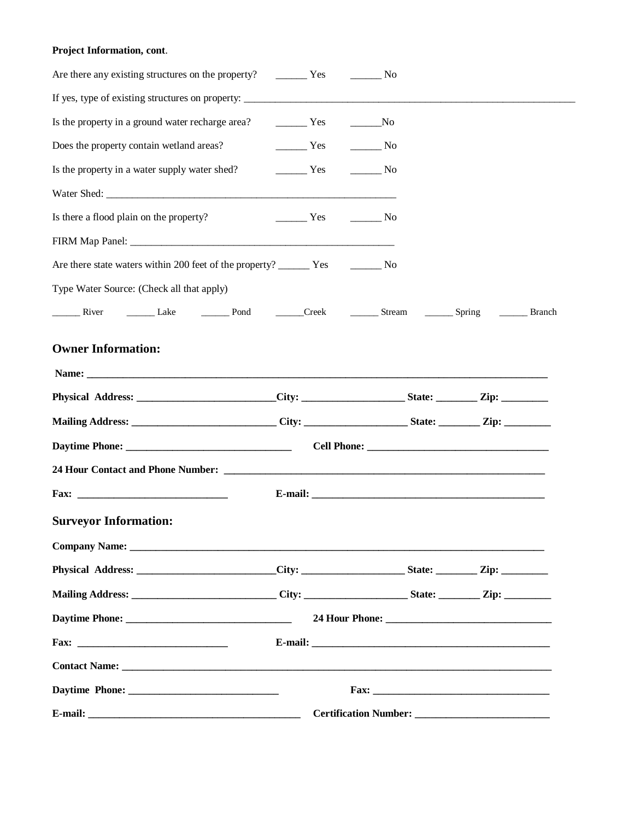### **Project Information, cont**.

|  |  |  | Is the property in a ground water recharge area? The Mo Theorem Property in a ground water recharge area? The Ves<br>$\frac{1}{\sqrt{1-\frac{1}{\sqrt{1-\frac{1}{\sqrt{1-\frac{1}{\sqrt{1-\frac{1}{\sqrt{1-\frac{1}{\sqrt{1-\frac{1}{\sqrt{1-\frac{1}{\sqrt{1-\frac{1}{\sqrt{1-\frac{1}{\sqrt{1-\frac{1}{\sqrt{1-\frac{1}{\sqrt{1-\frac{1}{\sqrt{1-\frac{1}{\sqrt{1-\frac{1}{\sqrt{1-\frac{1}{\sqrt{1-\frac{1}{\sqrt{1-\frac{1}{\sqrt{1-\frac{1}{\sqrt{1-\frac{1}{\sqrt{1-\frac{1}{\sqrt{1-\frac{1}{\sqrt{1-\frac{1}{\sqrt{1-\frac{1}{\sqrt{1-\frac{1$<br>Is the property in a water supply water shed? The Yes Theory No<br>$Yes$ No | River Lake <u>Dend</u> Creek <u>Stream Spring</u> Branch<br>Physical Address: ________________________City: ______________________State: __________Zip: ________<br>Mailing Address: ______________________________City: _____________________State: __________Zip: _________<br>Physical Address: City: City: State: Zip: Zip:<br>Mailing Address: _________________________________City: __________________________________Zip: _______________ |
|--|--|--|---------------------------------------------------------------------------------------------------------------------------------------------------------------------------------------------------------------------------------------------------------------------------------------------------------------------------------------------------------------------------------------------------------------------------------------------------------------------------------------------------------------------------------------------------------------------------------------------------------------------------------------|---------------------------------------------------------------------------------------------------------------------------------------------------------------------------------------------------------------------------------------------------------------------------------------------------------------------------------------------------------------------------------------------------------------------------------------------------|